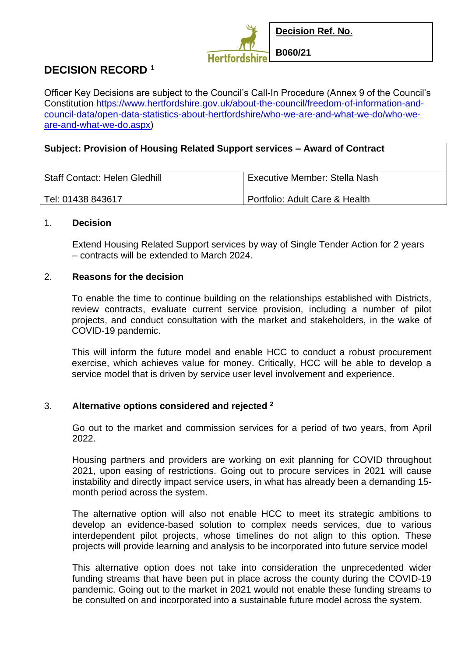

Officer Key Decisions are subject to the Council's Call-In Procedure (Annex 9 of the Council's Constitution [https://www.hertfordshire.gov.uk/about-the-council/freedom-of-information-and](https://www.hertfordshire.gov.uk/about-the-council/freedom-of-information-and-council-data/open-data-statistics-about-hertfordshire/who-we-are-and-what-we-do/who-we-are-and-what-we-do.aspx)[council-data/open-data-statistics-about-hertfordshire/who-we-are-and-what-we-do/who-we](https://www.hertfordshire.gov.uk/about-the-council/freedom-of-information-and-council-data/open-data-statistics-about-hertfordshire/who-we-are-and-what-we-do/who-we-are-and-what-we-do.aspx)[are-and-what-we-do.aspx\)](https://www.hertfordshire.gov.uk/about-the-council/freedom-of-information-and-council-data/open-data-statistics-about-hertfordshire/who-we-are-and-what-we-do/who-we-are-and-what-we-do.aspx)

| Subject: Provision of Housing Related Support services – Award of Contract |                                |
|----------------------------------------------------------------------------|--------------------------------|
| <b>Staff Contact: Helen Gledhill</b>                                       | Executive Member: Stella Nash  |
| Tel: 01438 843617                                                          | Portfolio: Adult Care & Health |

# 1. **Decision**

Extend Housing Related Support services by way of Single Tender Action for 2 years – contracts will be extended to March 2024.

### 2. **Reasons for the decision**

To enable the time to continue building on the relationships established with Districts, review contracts, evaluate current service provision, including a number of pilot projects, and conduct consultation with the market and stakeholders, in the wake of COVID-19 pandemic.

This will inform the future model and enable HCC to conduct a robust procurement exercise, which achieves value for money. Critically, HCC will be able to develop a service model that is driven by service user level involvement and experience.

# 3. **Alternative options considered and rejected <sup>2</sup>**

Go out to the market and commission services for a period of two years, from April 2022.

Housing partners and providers are working on exit planning for COVID throughout 2021, upon easing of restrictions. Going out to procure services in 2021 will cause instability and directly impact service users, in what has already been a demanding 15 month period across the system.

The alternative option will also not enable HCC to meet its strategic ambitions to develop an evidence-based solution to complex needs services, due to various interdependent pilot projects, whose timelines do not align to this option. These projects will provide learning and analysis to be incorporated into future service model

This alternative option does not take into consideration the unprecedented wider funding streams that have been put in place across the county during the COVID-19 pandemic. Going out to the market in 2021 would not enable these funding streams to be consulted on and incorporated into a sustainable future model across the system.